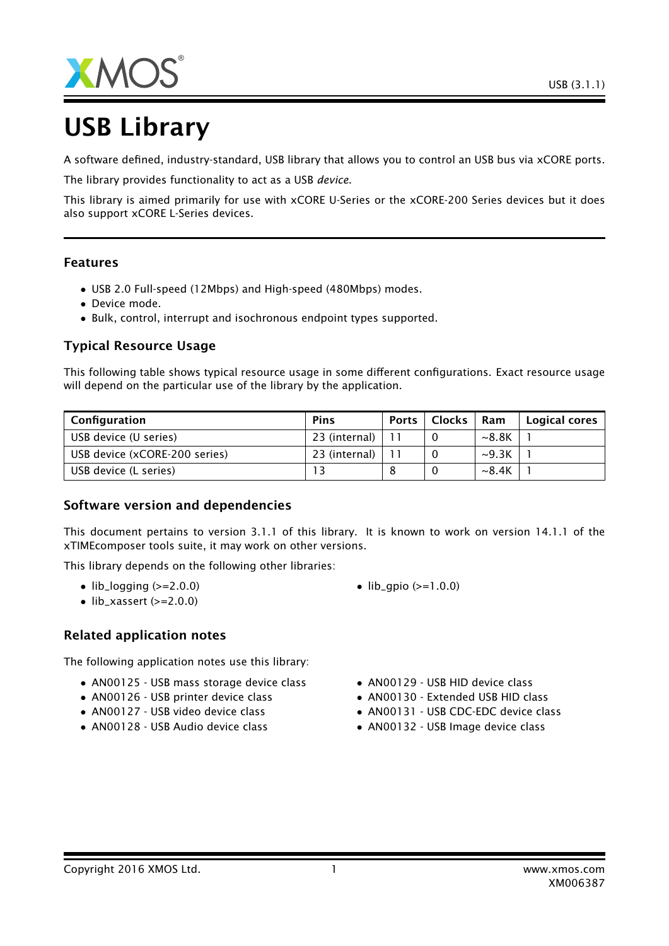

# USB Library

A software defined, industry-standard, USB library that allows you to control an USB bus via xCORE ports.

The library provides functionality to act as a USB *device*.

This library is aimed primarily for use with xCORE U-Series or the xCORE-200 Series devices but it does also support xCORE L-Series devices.

#### Features

- USB 2.0 Full-speed (12Mbps) and High-speed (480Mbps) modes.
- Device mode.
- Bulk, control, interrupt and isochronous endpoint types supported.

## Typical Resource Usage

This following table shows typical resource usage in some different configurations. Exact resource usage will depend on the particular use of the library by the application.

| Configuration                 | Pins          | <b>Ports</b> | <b>Clocks</b> | Ram         | Logical cores |
|-------------------------------|---------------|--------------|---------------|-------------|---------------|
| USB device (U series)         | 23 (internal) |              |               | ~8.8K       |               |
| USB device (xCORE-200 series) | 23 (internal) |              |               | $\sim$ 9.3K |               |
| USB device (L series)         |               |              |               | $\sim$ 8.4K |               |

#### Software version and dependencies

This document pertains to version 3.1.1 of this library. It is known to work on version 14.1.1 of the xTIMEcomposer tools suite, it may work on other versions.

This library depends on the following other libraries:

- $\bullet$  lib\_logging ( $>=$ 2.0.0)
- $\bullet$  lib\_xassert (>=2.0.0)

#### Related application notes

The following application notes use this library:

- AN00125 USB mass storage device class
- AN00126 USB printer device class
- AN00127 USB video device class
- AN00128 USB Audio device class
- $lib_qpio (> = 1.0.0)$
- AN00129 USB HID device class
- AN00130 Extended USB HID class
- AN00131 USB CDC-EDC device class
- AN00132 USB Image device class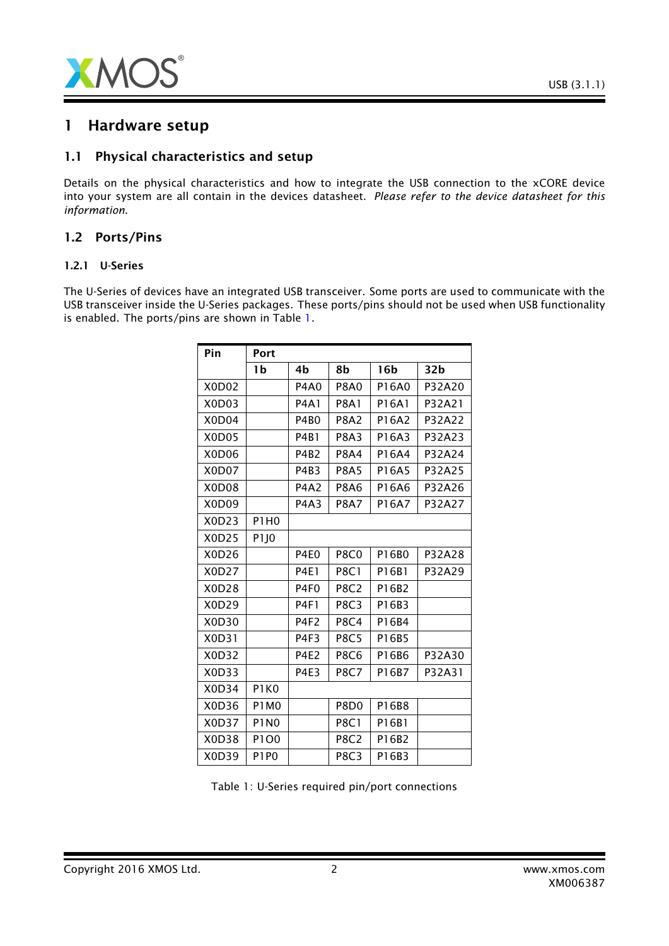

# 1 Hardware setup

#### 1.1 Physical characteristics and setup

Details on the physical characteristics and how to integrate the USB connection to the xCORE device into your system are all contain in the devices datasheet. *Please refer to the device datasheet for this information*.

#### 1.2 Ports/Pins

#### 1.2.1 U-Series

The U-Series of devices have an integrated USB transceiver. Some ports are used to communicate with the USB transceiver inside the U-Series packages. These ports/pins should not be used when USB functionality is enabled. The ports/pins are shown in Table [1.](#page-1-0)

| Pin   | Port             |                  |                  |                 |        |
|-------|------------------|------------------|------------------|-----------------|--------|
|       | 1b               | 4b               | 8b               | 16 <sub>b</sub> | 32b    |
| X0D02 |                  | <b>P4A0</b>      | <b>P8A0</b>      | P16A0           | P32A20 |
| X0D03 |                  | <b>P4A1</b>      | <b>P8A1</b>      | P16A1           | P32A21 |
| X0D04 |                  | <b>P4B0</b>      | <b>P8A2</b>      | P16A2           | P32A22 |
| X0D05 |                  | <b>P4B1</b>      | <b>P8A3</b>      | P16A3           | P32A23 |
| X0D06 |                  | <b>P4B2</b>      | <b>P8A4</b>      | P16A4           | P32A24 |
| X0D07 |                  | P4B3             | <b>P8A5</b>      | P16A5           | P32A25 |
| X0D08 |                  | <b>P4A2</b>      | <b>P8A6</b>      | P16A6           | P32A26 |
| X0D09 |                  | P4A3             | <b>P8A7</b>      | P16A7           | P32A27 |
| X0D23 | P1H0             |                  |                  |                 |        |
| X0D25 | P <sub>1JO</sub> |                  |                  |                 |        |
| X0D26 |                  | P4E <sub>0</sub> | <b>P8C0</b>      | P16B0           | P32A28 |
| X0D27 |                  | <b>P4E1</b>      | <b>P8C1</b>      | P16B1           | P32A29 |
| X0D28 |                  | P4F <sub>0</sub> | <b>P8C2</b>      | P16B2           |        |
| X0D29 |                  | <b>P4F1</b>      | <b>P8C3</b>      | P16B3           |        |
| X0D30 |                  | P4F2             | <b>P8C4</b>      | P16B4           |        |
| X0D31 |                  | P4F3             | <b>P8C5</b>      | P16B5           |        |
| X0D32 |                  | <b>P4E2</b>      | <b>P8C6</b>      | P16B6           | P32A30 |
| X0D33 |                  | <b>P4E3</b>      | <b>P8C7</b>      | P16B7           | P32A31 |
| X0D34 | P1K0             |                  |                  |                 |        |
| X0D36 | <b>P1M0</b>      |                  | P8D <sub>0</sub> | P16B8           |        |
| X0D37 | <b>P1N0</b>      |                  | <b>P8C1</b>      | P16B1           |        |
| X0D38 | P1O0             |                  | <b>P8C2</b>      | P16B2           |        |
| X0D39 | <b>P1P0</b>      |                  | <b>P8C3</b>      | P16B3           |        |

<span id="page-1-0"></span>Table 1: U-Series required pin/port connections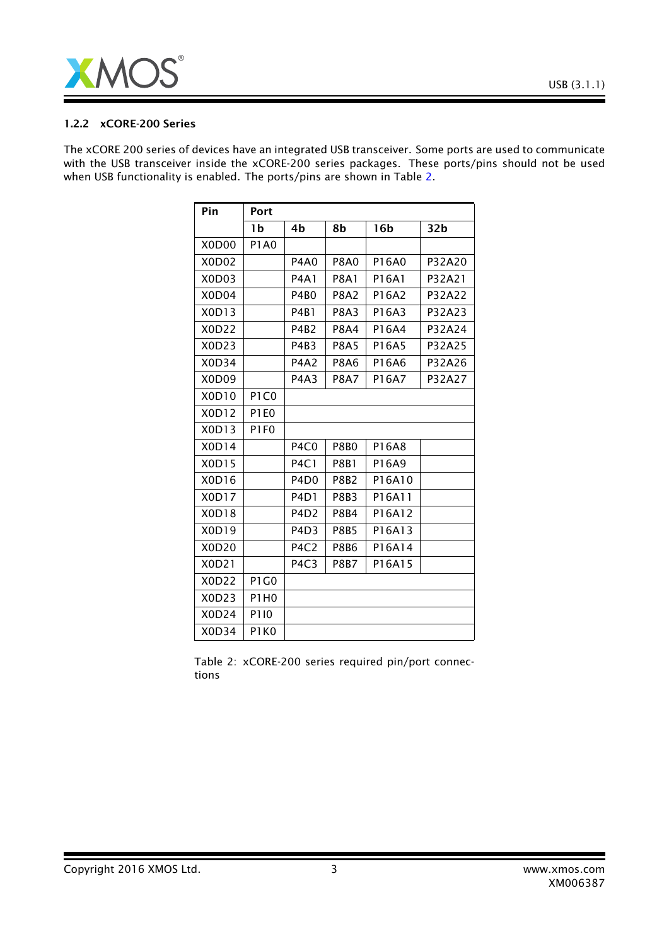

#### 1.2.2 xCORE-200 Series

The xCORE 200 series of devices have an integrated USB transceiver. Some ports are used to communicate with the USB transceiver inside the xCORE-200 series packages. These ports/pins should not be used when USB functionality is enabled. The ports/pins are shown in Table [2.](#page-2-0)

| Pin                            | Port                          |                               |             |                 |                 |
|--------------------------------|-------------------------------|-------------------------------|-------------|-----------------|-----------------|
|                                | 1b                            | 4b                            | 8b          | 16 <sub>b</sub> | 32 <sub>b</sub> |
| X0D00                          | <b>P1A0</b>                   |                               |             |                 |                 |
| X0D02                          |                               | <b>P4A0</b>                   | <b>P8A0</b> | P16A0           | P32A20          |
| X0D03                          |                               | <b>P4A1</b>                   | <b>P8A1</b> | P16A1           | P32A21          |
| X0D04                          |                               | <b>P4B0</b>                   | <b>P8A2</b> | P16A2           | P32A22          |
| X0D13                          |                               | P4B1                          | <b>P8A3</b> | P16A3           | P32A23          |
| X0D22                          |                               | P4B2                          | <b>P8A4</b> | P16A4           | P32A24          |
| X0D23                          |                               | P4B3                          | <b>P8A5</b> | P16A5           | P32A25          |
| X0D34                          |                               | <b>P4A2</b>                   | <b>P8A6</b> | P16A6           | P32A26          |
| X <sub>0</sub> D <sub>09</sub> |                               | P4A3                          | <b>P8A7</b> | P16A7           | P32A27          |
| X0D10                          | P <sub>1</sub> C <sub>0</sub> |                               |             |                 |                 |
| X0D12                          | P <sub>1</sub> E <sub>0</sub> |                               |             |                 |                 |
| X0D13                          | P <sub>1F0</sub>              |                               |             |                 |                 |
| X0D14                          |                               | P <sub>4</sub> C <sub>0</sub> | <b>P8B0</b> | P16A8           |                 |
| X0D15                          |                               | <b>P4C1</b>                   | <b>P8B1</b> | P16A9           |                 |
| X0D16                          |                               | P <sub>4</sub> D <sub>0</sub> | <b>P8B2</b> | P16A10          |                 |
| X0D17                          |                               | P <sub>4</sub> D <sub>1</sub> | <b>P8B3</b> | P16A11          |                 |
| X0D18                          |                               | P <sub>4</sub> D <sub>2</sub> | <b>P8B4</b> | P16A12          |                 |
| X0D19                          |                               | P <sub>4</sub> D <sub>3</sub> | <b>P8B5</b> | P16A13          |                 |
| X0D20                          |                               | P <sub>4</sub> C <sub>2</sub> | <b>P8B6</b> | P16A14          |                 |
| X0D21                          |                               | P <sub>4</sub> C <sub>3</sub> | <b>P8B7</b> | P16A15          |                 |
| X0D22                          | P1G0                          |                               |             |                 |                 |
| X0D23                          | <b>P1H0</b>                   |                               |             |                 |                 |
| X0D24                          | P110                          |                               |             |                 |                 |
| X0D34                          | P <sub>1</sub> K <sub>0</sub> |                               |             |                 |                 |

<span id="page-2-0"></span>Table 2: xCORE-200 series required pin/port connections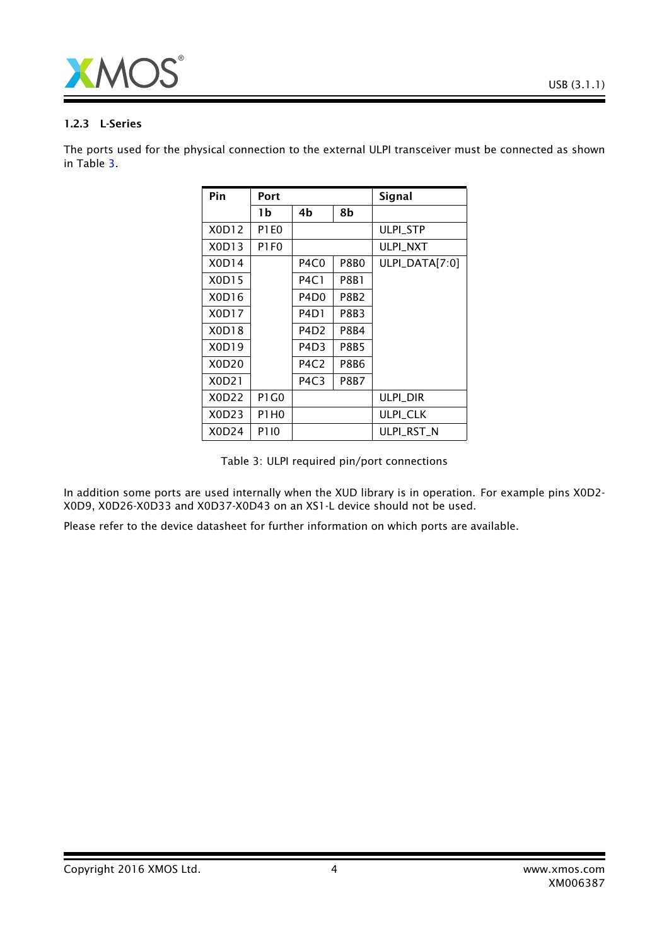

#### 1.2.3 L-Series

The ports used for the physical connection to the external ULPI transceiver must be connected as shown in Table [3.](#page-3-0)

| Pin   | Port        |                               |             | <b>Signal</b>    |
|-------|-------------|-------------------------------|-------------|------------------|
|       | 1b          | 4b                            | 8b          |                  |
| X0D12 | <b>P1E0</b> |                               |             | <b>ULPI STP</b>  |
| X0D13 | P1F0        |                               |             | <b>ULPI NXT</b>  |
| X0D14 |             | P4C0                          | P8B0        | $ULPI_DATA[7:0]$ |
| X0D15 |             | <b>P4C1</b>                   | P8B1        |                  |
| X0D16 |             | P4D <sub>0</sub>              | P8B2        |                  |
| X0D17 |             | P4D1                          | P8B3        |                  |
| X0D18 |             | P4D <sub>2</sub>              | P8B4        |                  |
| X0D19 |             | P4D3                          | P8B5        |                  |
| X0D20 |             | P4C2                          | P8B6        |                  |
| X0D21 |             | P <sub>4</sub> C <sub>3</sub> | <b>P8B7</b> |                  |
| X0D22 | P1 G0       |                               |             | ulpi dir         |
| X0D23 | P1H0        |                               |             | <b>ULPI_CLK</b>  |
| X0D24 | P110        |                               |             | ULPI RST N       |

<span id="page-3-0"></span>Table 3: ULPI required pin/port connections

In addition some ports are used internally when the XUD library is in operation. For example pins X0D2- X0D9, X0D26-X0D33 and X0D37-X0D43 on an XS1-L device should not be used.

Please refer to the device datasheet for further information on which ports are available.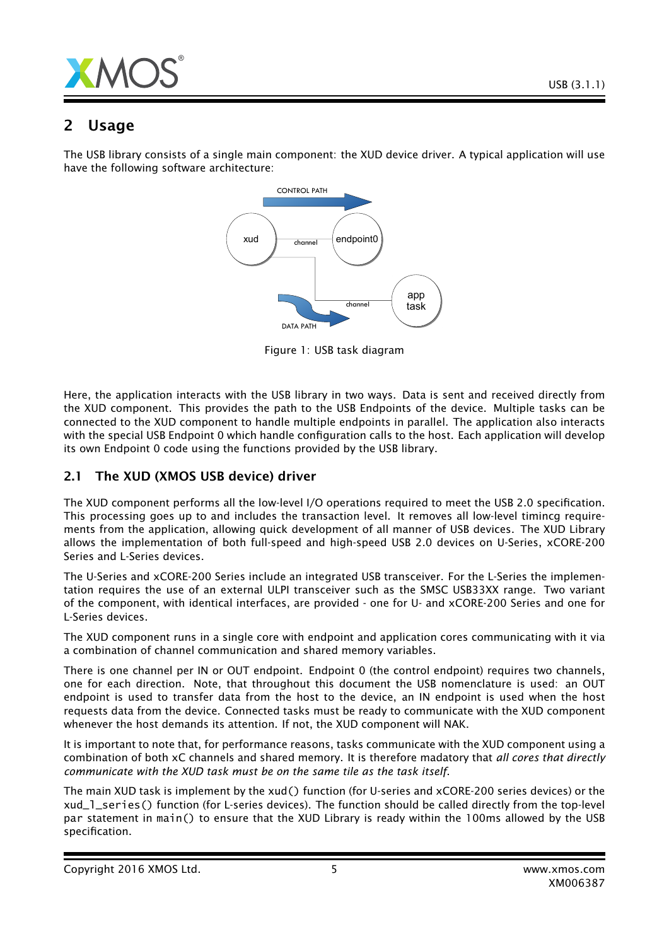

# 2 Usage

The USB library consists of a single main component: the XUD device driver. A typical application will use have the following software architecture:



Figure 1: USB task diagram

Here, the application interacts with the USB library in two ways. Data is sent and received directly from the XUD component. This provides the path to the USB Endpoints of the device. Multiple tasks can be connected to the XUD component to handle multiple endpoints in parallel. The application also interacts with the special USB Endpoint 0 which handle configuration calls to the host. Each application will develop its own Endpoint 0 code using the functions provided by the USB library.

# 2.1 The XUD (XMOS USB device) driver

The XUD component performs all the low-level I/O operations required to meet the USB 2.0 specification. This processing goes up to and includes the transaction level. It removes all low-level timincg requirements from the application, allowing quick development of all manner of USB devices. The XUD Library allows the implementation of both full-speed and high-speed USB 2.0 devices on U-Series, xCORE-200 Series and L-Series devices.

The U-Series and xCORE-200 Series include an integrated USB transceiver. For the L-Series the implementation requires the use of an external ULPI transceiver such as the SMSC USB33XX range. Two variant of the component, with identical interfaces, are provided - one for U- and xCORE-200 Series and one for L-Series devices.

The XUD component runs in a single core with endpoint and application cores communicating with it via a combination of channel communication and shared memory variables.

There is one channel per IN or OUT endpoint. Endpoint 0 (the control endpoint) requires two channels, one for each direction. Note, that throughout this document the USB nomenclature is used: an OUT endpoint is used to transfer data from the host to the device, an IN endpoint is used when the host requests data from the device. Connected tasks must be ready to communicate with the XUD component whenever the host demands its attention. If not, the XUD component will NAK.

It is important to note that, for performance reasons, tasks communicate with the XUD component using a combination of both xC channels and shared memory. It is therefore madatory that *all cores that directly communicate with the XUD task must be on the same tile as the task itself*.

The main XUD task is implement by the xud() function (for U-series and xCORE-200 series devices) or the xud\_l\_series() function (for L-series devices). The function should be called directly from the top-level par statement in main() to ensure that the XUD Library is ready within the 100ms allowed by the USB specification.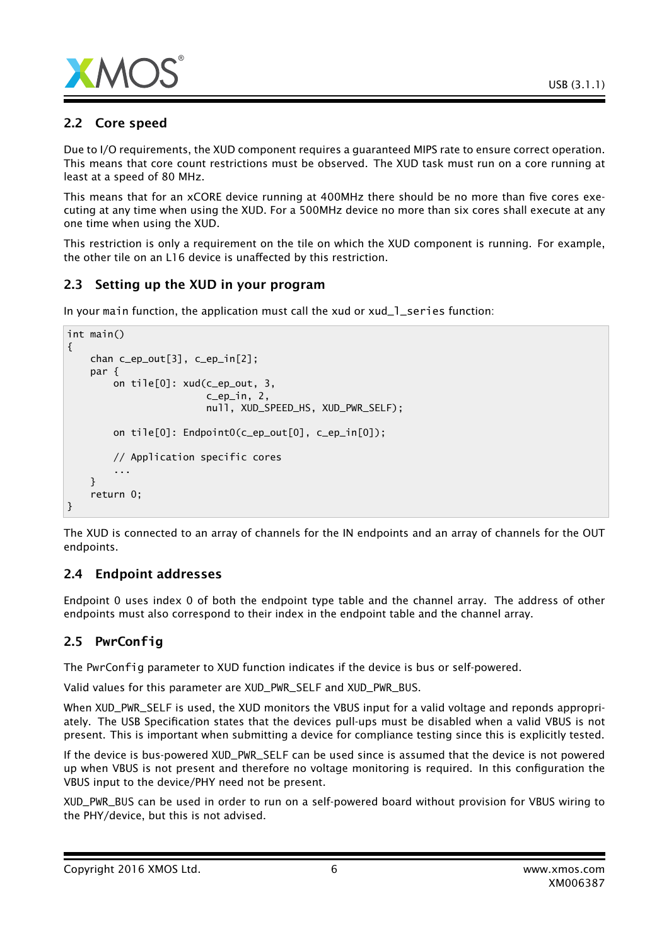

# 2.2 Core speed

Due to I/O requirements, the XUD component requires a guaranteed MIPS rate to ensure correct operation. This means that core count restrictions must be observed. The XUD task must run on a core running at least at a speed of 80 MHz.

This means that for an xCORE device running at 400MHz there should be no more than five cores executing at any time when using the XUD. For a 500MHz device no more than six cores shall execute at any one time when using the XUD.

This restriction is only a requirement on the tile on which the XUD component is running. For example, the other tile on an L16 device is unaffected by this restriction.

# 2.3 Setting up the XUD in your program

In your main function, the application must call the xud or xud\_1\_series function:

```
int main()
{
    chan c_ep_out[3], c_ep_in[2];
    par {
        on tile[0]: xud(c_ep_out, 3,
                         c_ep_in, 2,
                        null, XUD_SPEED_HS, XUD_PWR_SELF);
        on tile[0]: Endpoint0(c_ep_out[0], c_ep_in[0]);
        // Application specific cores
        ...
    }
    return 0;
}
```
The XUD is connected to an array of channels for the IN endpoints and an array of channels for the OUT endpoints.

# 2.4 Endpoint addresses

Endpoint 0 uses index 0 of both the endpoint type table and the channel array. The address of other endpoints must also correspond to their index in the endpoint table and the channel array.

# 2.5 **PwrConfig**

The PwrConfig parameter to XUD function indicates if the device is bus or self-powered.

Valid values for this parameter are XUD\_PWR\_SELF and XUD\_PWR\_BUS.

When XUD\_PWR\_SELF is used, the XUD monitors the VBUS input for a valid voltage and reponds appropriately. The USB Specification states that the devices pull-ups must be disabled when a valid VBUS is not present. This is important when submitting a device for compliance testing since this is explicitly tested.

If the device is bus-powered XUD\_PWR\_SELF can be used since is assumed that the device is not powered up when VBUS is not present and therefore no voltage monitoring is required. In this configuration the VBUS input to the device/PHY need not be present.

XUD\_PWR\_BUS can be used in order to run on a self-powered board without provision for VBUS wiring to the PHY/device, but this is not advised.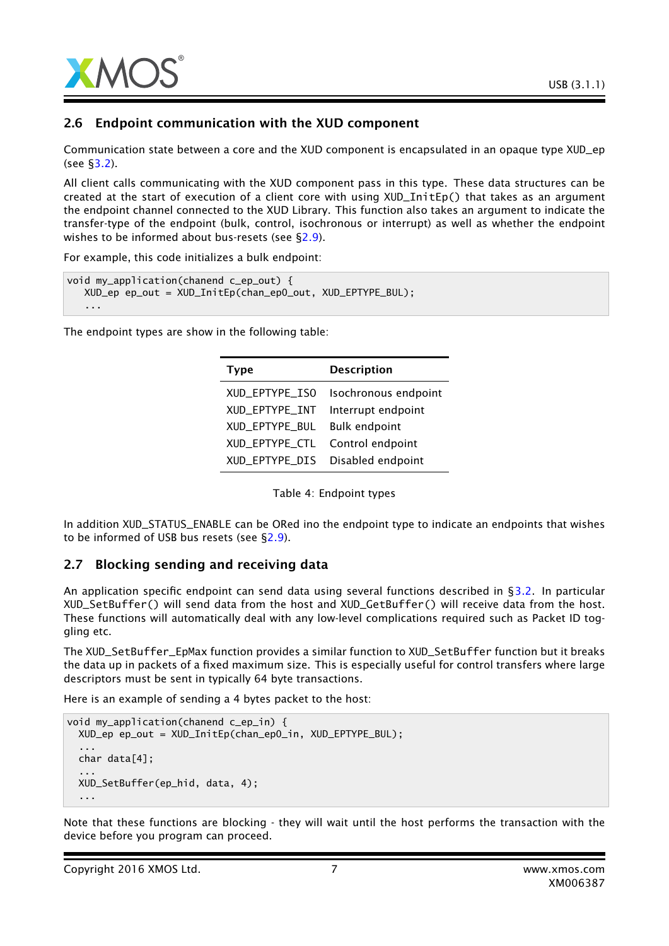

## 2.6 Endpoint communication with the XUD component

Communication state between a core and the XUD component is encapsulated in an opaque type XUD\_ep (see [§3.2\)](#page-13-0).

All client calls communicating with the XUD component pass in this type. These data structures can be created at the start of execution of a client core with using XUD\_InitEp() that takes as an argument the endpoint channel connected to the XUD Library. This function also takes an argument to indicate the transfer-type of the endpoint (bulk, control, isochronous or interrupt) as well as whether the endpoint wishes to be informed about bus-resets (see [§2.9\)](#page-7-0).

For example, this code initializes a bulk endpoint:

```
void my_application(chanend c_ep_out) {
  XUD_ep ep_out = XUD_InitEp(chan_ep0_out, XUD_EPTYPE_BUL);
   ...
```
The endpoint types are show in the following table:

| <b>Type</b>    | <b>Description</b>   |
|----------------|----------------------|
| XUD EPTYPE ISO | Isochronous endpoint |
| XUD_EPTYPE_INT | Interrupt endpoint   |
| XUD EPTYPE BUL | <b>Bulk endpoint</b> |
| XUD_EPTYPE_CTL | Control endpoint     |
| XUD_EPTYPE_DIS | Disabled endpoint    |

Table 4: Endpoint types

In addition XUD\_STATUS\_ENABLE can be ORed ino the endpoint type to indicate an endpoints that wishes to be informed of USB bus resets (see [§2.9\)](#page-7-0).

#### 2.7 Blocking sending and receiving data

An application specific endpoint can send data using several functions described in [§3.2.](#page-13-0) In particular XUD\_SetBuffer() will send data from the host and XUD\_GetBuffer() will receive data from the host. These functions will automatically deal with any low-level complications required such as Packet ID toggling etc.

The XUD\_SetBuffer\_EpMax function provides a similar function to XUD\_SetBuffer function but it breaks the data up in packets of a fixed maximum size. This is especially useful for control transfers where large descriptors must be sent in typically 64 byte transactions.

Here is an example of sending a 4 bytes packet to the host:

```
void my_application(chanend c_ep_in) {
 XUD_ep ep_out = XUD_InitEp(chan_ep0_in, XUD_EPTYPE_BUL);
  ...
 char data[4];
  ...
 XUD_SetBuffer(ep_hid, data, 4);
  ...
```
Note that these functions are blocking - they will wait until the host performs the transaction with the device before you program can proceed.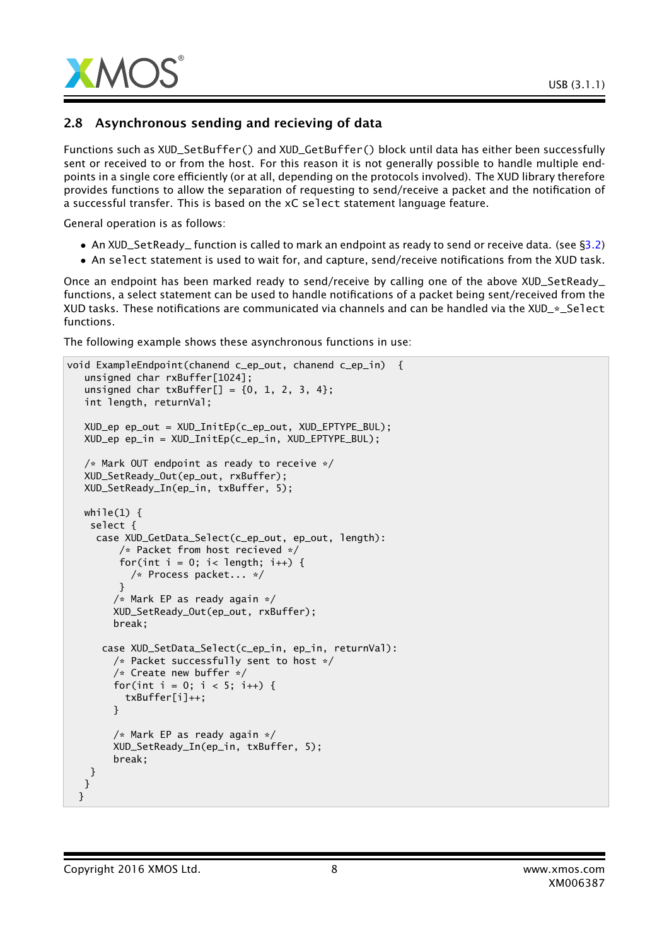

## 2.8 Asynchronous sending and recieving of data

Functions such as XUD\_SetBuffer() and XUD\_GetBuffer() block until data has either been successfully sent or received to or from the host. For this reason it is not generally possible to handle multiple endpoints in a single core efficiently (or at all, depending on the protocols involved). The XUD library therefore provides functions to allow the separation of requesting to send/receive a packet and the notification of a successful transfer. This is based on the xC select statement language feature.

General operation is as follows:

- An XUD\_SetReady\_ function is called to mark an endpoint as ready to send or receive data. (see [§3.2\)](#page-13-0)
- An select statement is used to wait for, and capture, send/receive notifications from the XUD task.

Once an endpoint has been marked ready to send/receive by calling one of the above XUD\_SetReady\_ functions, a select statement can be used to handle notifications of a packet being sent/received from the XUD tasks. These notifications are communicated via channels and can be handled via the XUD\_\*\_Select functions.

The following example shows these asynchronous functions in use:

```
void ExampleEndpoint(chanend c_ep_out, chanend c_ep_in) {
   unsigned char rxBuffer[1024];
   unsigned char txBuffer[] = {0, 1, 2, 3, 4};
   int length, returnVal;
  XUD_ep ep_out = XUD_InitEp(c_ep_out, XUD_EPTYPE_BUL);
  XUD_ep ep_in = XUD_InitEp(c_ep_in, XUD_EPTYPE_BUL);
  /* Mark OUT endpoint as ready to receive */
  XUD_SetReady_Out(ep_out, rxBuffer);
  XUD_SetReady_In(ep_in, txBuffer, 5);
  while(1) \{select {
     case XUD_GetData_Select(c_ep_out, ep_out, length):
         /* Packet from host recieved */
         for(int i = 0; i< length; i++) {
           /* Process packet... */
         }
        /* Mark EP as ready again */
        XUD_SetReady_Out(ep_out, rxBuffer);
        break;
      case XUD_SetData_Select(c_ep_in, ep_in, returnVal):
        /* Packet successfully sent to host */
        /* Create new buffer */
        for(int i = 0; i < 5; i++) {
          txBuffer[i]++;
        }
        /* Mark EP as ready again */
        XUD_SetReady_In(ep_in, txBuffer, 5);
        break;
   }
  }
 }
```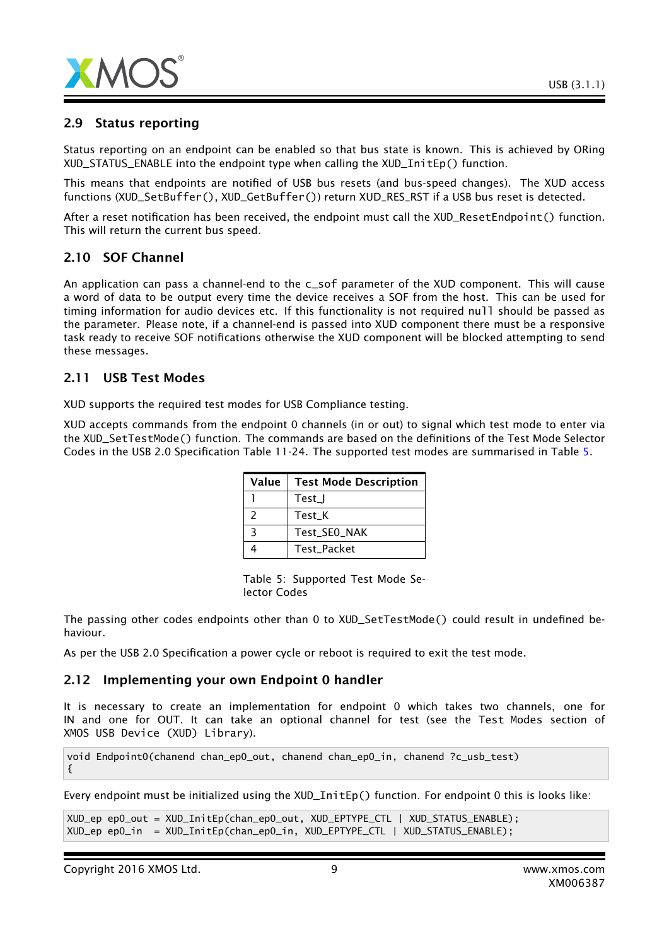

## 2.9 Status reporting

Status reporting on an endpoint can be enabled so that bus state is known. This is achieved by ORing XUD\_STATUS\_ENABLE into the endpoint type when calling the XUD\_InitEp() function.

This means that endpoints are notified of USB bus resets (and bus-speed changes). The XUD access functions (XUD\_SetBuffer(), XUD\_GetBuffer()) return XUD\_RES\_RST if a USB bus reset is detected.

After a reset notification has been received, the endpoint must call the XUD\_ResetEndpoint() function. This will return the current bus speed.

# 2.10 SOF Channel

An application can pass a channel-end to the c\_sof parameter of the XUD component. This will cause a word of data to be output every time the device receives a SOF from the host. This can be used for timing information for audio devices etc. If this functionality is not required null should be passed as the parameter. Please note, if a channel-end is passed into XUD component there must be a responsive task ready to receive SOF notifications otherwise the XUD component will be blocked attempting to send these messages.

#### 2.11 USB Test Modes

XUD supports the required test modes for USB Compliance testing.

XUD accepts commands from the endpoint 0 channels (in or out) to signal which test mode to enter via the XUD\_SetTestMode() function. The commands are based on the definitions of the Test Mode Selector Codes in the USB 2.0 Specification Table 11-24. The supported test modes are summarised in Table [5.](#page-8-0)

| Value         | <b>Test Mode Description</b> |
|---------------|------------------------------|
|               | Test_J                       |
| $\mathcal{P}$ | Test K                       |
| ₹             | Test SEO NAK                 |
|               | Test Packet                  |

<span id="page-8-0"></span>Table 5: Supported Test Mode Selector Codes

The passing other codes endpoints other than 0 to XUD\_SetTestMode() could result in undefined behaviour.

As per the USB 2.0 Specification a power cycle or reboot is required to exit the test mode.

#### 2.12 Implementing your own Endpoint 0 handler

It is necessary to create an implementation for endpoint 0 which takes two channels, one for IN and one for OUT. It can take an optional channel for test (see the Test Modes section of XMOS USB Device (XUD) Library).

void Endpoint0(chanend chan\_ep0\_out, chanend chan\_ep0\_in, chanend ?c\_usb\_test) {

Every endpoint must be initialized using the XUD\_InitEp() function. For endpoint 0 this is looks like:

```
XUD_ep ep0_out = XUD_InitEp(chan_ep0_out, XUD_EPTYPE_CTL | XUD_STATUS_ENABLE);
XUD_ep ep0_in = XUD_InitEp(chan_ep0_in, XUD_EPTYPE_CTL | XUD_STATUS_ENABLE);
```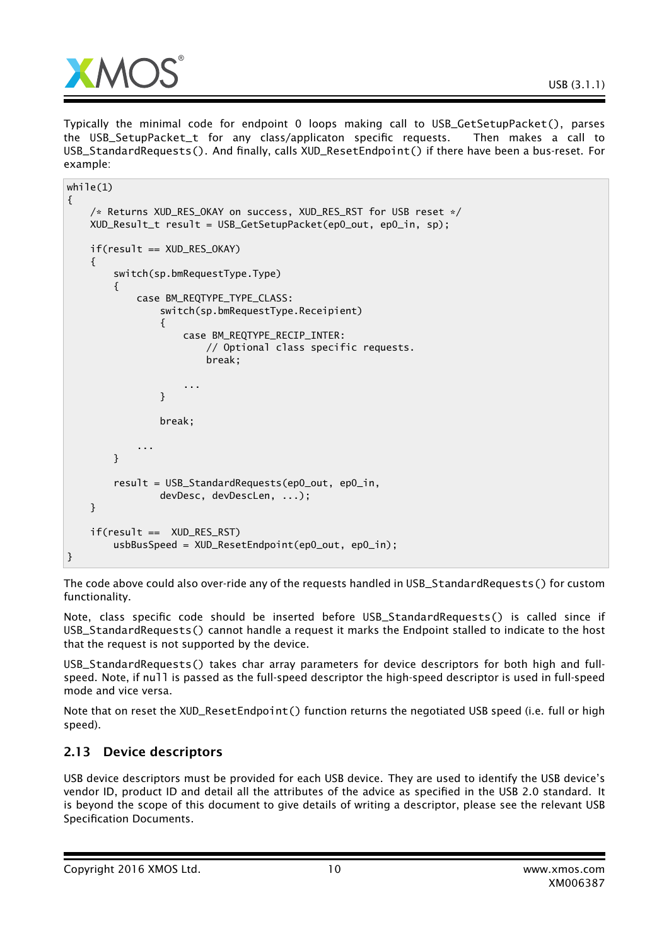

Typically the minimal code for endpoint 0 loops making call to USB\_GetSetupPacket(), parses the USB\_SetupPacket\_t for any class/applicaton specific requests. Then makes a call to USB\_StandardRequests(). And finally, calls XUD\_ResetEndpoint() if there have been a bus-reset. For example:

```
while(1){
    /* Returns XUD_RES_OKAY on success, XUD_RES_RST for USB reset */
    XUD_Result_t result = USB_GetSetupPacket(ep0_out, ep0_in, sp);
    if(result == XUD_RES_OKAY)
    {
        switch(sp.bmRequestType.Type)
        {
            case BM_REQTYPE_TYPE_CLASS:
                switch(sp.bmRequestType.Receipient)
                {
                    case BM_REQTYPE_RECIP_INTER:
                        // Optional class specific requests.
                        break;
                    ...
                }
                break;
            ...
        }
        result = USB_StandardRequests(ep0_out, ep0_in,
                devDesc, devDescLen, ...);
    }
    if(result == XUD_RES_RST)
        usbBusSpeed = XUD_ResetEndpoint(ep0_out, ep0_in);
}
```
The code above could also over-ride any of the requests handled in USB\_StandardRequests() for custom functionality.

Note, class specific code should be inserted before USB\_StandardRequests() is called since if USB\_StandardRequests() cannot handle a request it marks the Endpoint stalled to indicate to the host that the request is not supported by the device.

USB\_StandardRequests() takes char array parameters for device descriptors for both high and fullspeed. Note, if null is passed as the full-speed descriptor the high-speed descriptor is used in full-speed mode and vice versa.

Note that on reset the XUD\_ResetEndpoint() function returns the negotiated USB speed (i.e. full or high speed).

# 2.13 Device descriptors

USB device descriptors must be provided for each USB device. They are used to identify the USB device's vendor ID, product ID and detail all the attributes of the advice as specified in the USB 2.0 standard. It is beyond the scope of this document to give details of writing a descriptor, please see the relevant USB Specification Documents.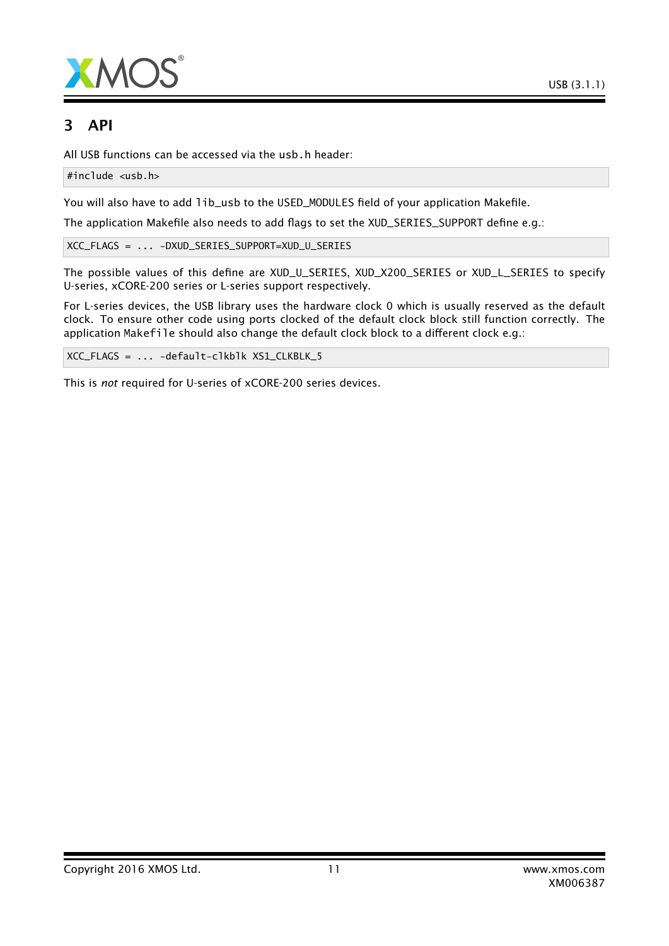



# 3 API

All USB functions can be accessed via the usb.h header:

#include <usb.h>

You will also have to add lib\_usb to the USED\_MODULES field of your application Makefile.

The application Makefile also needs to add flags to set the XUD\_SERIES\_SUPPORT define e.g.:

XCC\_FLAGS = ... -DXUD\_SERIES\_SUPPORT=XUD\_U\_SERIES

The possible values of this define are XUD\_U\_SERIES, XUD\_X200\_SERIES or XUD\_L\_SERIES to specify U-series, xCORE-200 series or L-series support respectively.

For L-series devices, the USB library uses the hardware clock 0 which is usually reserved as the default clock. To ensure other code using ports clocked of the default clock block still function correctly. The application Makefile should also change the default clock block to a different clock e.g.:

XCC\_FLAGS = ... -default-clkblk XS1\_CLKBLK\_5

This is *not* required for U-series of xCORE-200 series devices.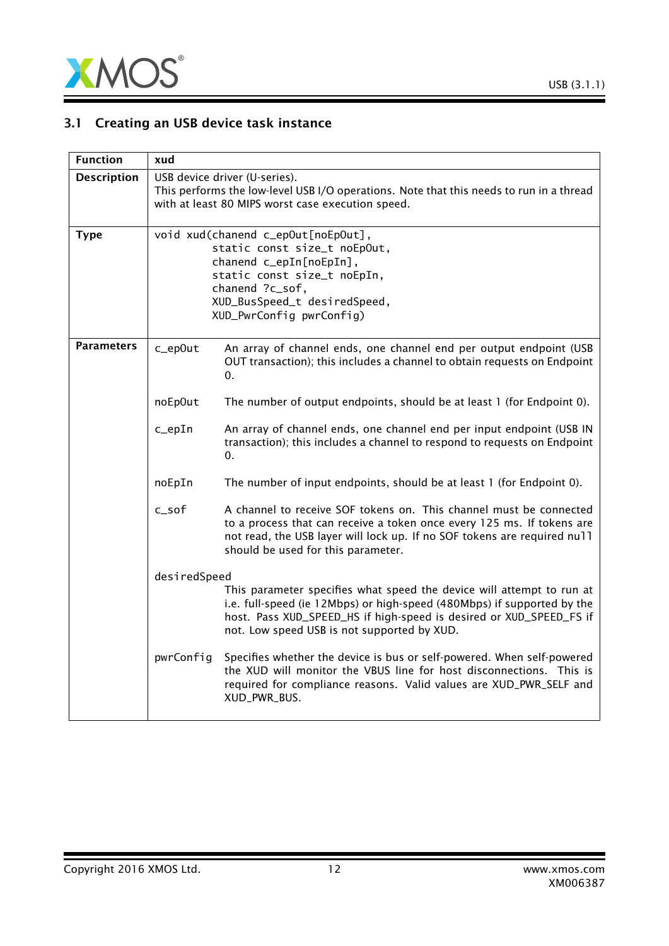

# 3.1 Creating an USB device task instance

| <b>Function</b>    | xud                                                                                                                                                                                                         |                                                                                                                                                                                                                                                                        |  |
|--------------------|-------------------------------------------------------------------------------------------------------------------------------------------------------------------------------------------------------------|------------------------------------------------------------------------------------------------------------------------------------------------------------------------------------------------------------------------------------------------------------------------|--|
| <b>Description</b> |                                                                                                                                                                                                             | USB device driver (U-series).<br>This performs the low-level USB I/O operations. Note that this needs to run in a thread<br>with at least 80 MIPS worst case execution speed.                                                                                          |  |
| <b>Type</b>        | void xud(chanend c_epOut[noEpOut],<br>static const size_t noEpOut,<br>chanend c_epIn[noEpIn],<br>static const size_t noEpIn,<br>chanend ?c_sof,<br>XUD_BusSpeed_t desiredSpeed,<br>XUD_PwrConfig pwrConfig) |                                                                                                                                                                                                                                                                        |  |
| Parameters         | c_ep0ut                                                                                                                                                                                                     | An array of channel ends, one channel end per output endpoint (USB<br>OUT transaction); this includes a channel to obtain requests on Endpoint<br>0.                                                                                                                   |  |
|                    | noEp0ut                                                                                                                                                                                                     | The number of output endpoints, should be at least 1 (for Endpoint 0).                                                                                                                                                                                                 |  |
|                    | $c$ _epIn                                                                                                                                                                                                   | An array of channel ends, one channel end per input endpoint (USB IN<br>transaction); this includes a channel to respond to requests on Endpoint<br>0.                                                                                                                 |  |
|                    | noEpIn                                                                                                                                                                                                      | The number of input endpoints, should be at least 1 (for Endpoint 0).                                                                                                                                                                                                  |  |
|                    | c_sof                                                                                                                                                                                                       | A channel to receive SOF tokens on. This channel must be connected<br>to a process that can receive a token once every 125 ms. If tokens are<br>not read, the USB layer will lock up. If no SOF tokens are required null<br>should be used for this parameter.         |  |
|                    | desiredSpeed                                                                                                                                                                                                |                                                                                                                                                                                                                                                                        |  |
|                    |                                                                                                                                                                                                             | This parameter specifies what speed the device will attempt to run at<br>i.e. full-speed (ie 12Mbps) or high-speed (480Mbps) if supported by the<br>host. Pass XUD_SPEED_HS if high-speed is desired or XUD_SPEED_FS if<br>not. Low speed USB is not supported by XUD. |  |
|                    | pwrConfig                                                                                                                                                                                                   | Specifies whether the device is bus or self-powered. When self-powered<br>the XUD will monitor the VBUS line for host disconnections. This is<br>required for compliance reasons. Valid values are XUD_PWR_SELF and<br>XUD_PWR_BUS.                                    |  |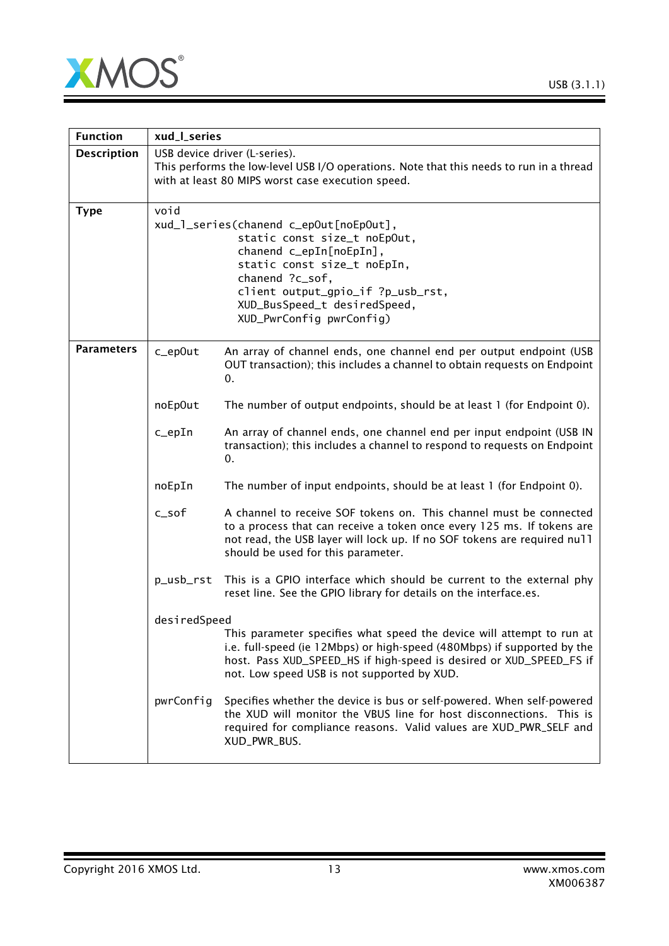

| <b>Function</b>    | xud_l_series                                                                                                                                                                                                                                                 |                                                                                                                                                                                                                                                                        |  |
|--------------------|--------------------------------------------------------------------------------------------------------------------------------------------------------------------------------------------------------------------------------------------------------------|------------------------------------------------------------------------------------------------------------------------------------------------------------------------------------------------------------------------------------------------------------------------|--|
| <b>Description</b> |                                                                                                                                                                                                                                                              | USB device driver (L-series).<br>This performs the low-level USB I/O operations. Note that this needs to run in a thread<br>with at least 80 MIPS worst case execution speed.                                                                                          |  |
| <b>Type</b>        | void<br>xud_1_series(chanend c_epOut[noEpOut],<br>static const size_t noEpOut,<br>chanend c_epIn[noEpIn],<br>static const size_t noEpIn,<br>chanend ?c_sof,<br>client output_gpio_if ?p_usb_rst,<br>XUD_BusSpeed_t desiredSpeed,<br>XUD_PwrConfig pwrConfig) |                                                                                                                                                                                                                                                                        |  |
| <b>Parameters</b>  | c_ep0ut                                                                                                                                                                                                                                                      | An array of channel ends, one channel end per output endpoint (USB<br>OUT transaction); this includes a channel to obtain requests on Endpoint<br>0.                                                                                                                   |  |
|                    | noEp0ut                                                                                                                                                                                                                                                      | The number of output endpoints, should be at least 1 (for Endpoint 0).                                                                                                                                                                                                 |  |
|                    | $c$ _epIn                                                                                                                                                                                                                                                    | An array of channel ends, one channel end per input endpoint (USB IN<br>transaction); this includes a channel to respond to requests on Endpoint<br>0.                                                                                                                 |  |
|                    | noEpIn                                                                                                                                                                                                                                                       | The number of input endpoints, should be at least 1 (for Endpoint 0).                                                                                                                                                                                                  |  |
|                    | $c$ _sof                                                                                                                                                                                                                                                     | A channel to receive SOF tokens on. This channel must be connected<br>to a process that can receive a token once every 125 ms. If tokens are<br>not read, the USB layer will lock up. If no SOF tokens are required null<br>should be used for this parameter.         |  |
|                    | p_usb_rst                                                                                                                                                                                                                                                    | This is a GPIO interface which should be current to the external phy<br>reset line. See the GPIO library for details on the interface.es.                                                                                                                              |  |
|                    | desiredSpeed                                                                                                                                                                                                                                                 | This parameter specifies what speed the device will attempt to run at<br>i.e. full-speed (ie 12Mbps) or high-speed (480Mbps) if supported by the<br>host. Pass XUD_SPEED_HS if high-speed is desired or XUD_SPEED_FS if<br>not. Low speed USB is not supported by XUD. |  |
|                    | pwrConfig                                                                                                                                                                                                                                                    | Specifies whether the device is bus or self-powered. When self-powered<br>the XUD will monitor the VBUS line for host disconnections. This is<br>required for compliance reasons. Valid values are XUD_PWR_SELF and<br>XUD_PWR_BUS.                                    |  |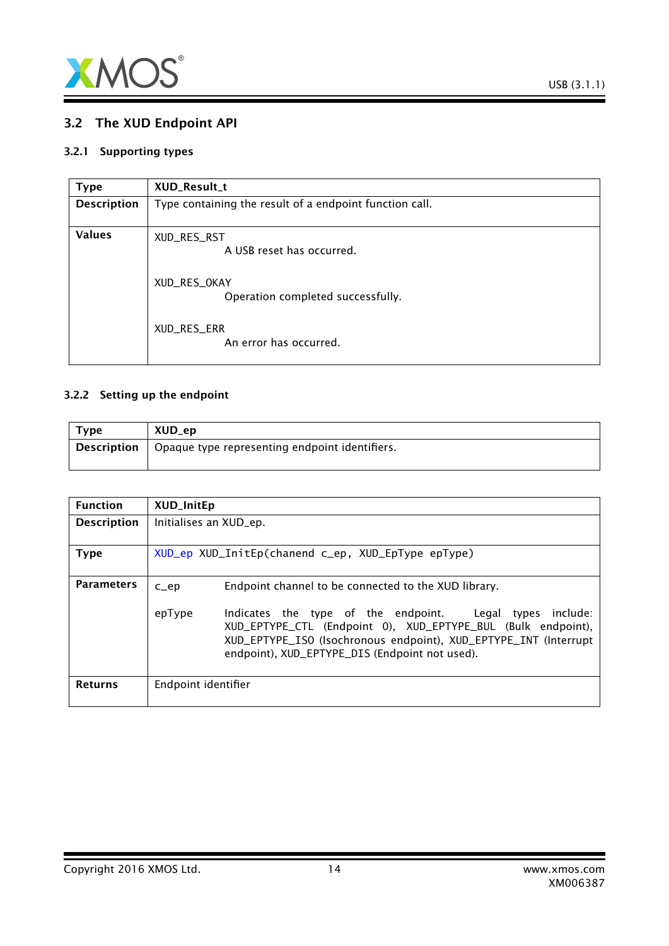

# <span id="page-13-0"></span>3.2 The XUD Endpoint API

#### 3.2.1 Supporting types

<span id="page-13-2"></span>

| <b>Type</b>        | XUD_Result_t                                            |
|--------------------|---------------------------------------------------------|
| <b>Description</b> | Type containing the result of a endpoint function call. |
| <b>Values</b>      | XUD_RES_RST<br>A USB reset has occurred.                |
|                    | XUD_RES_OKAY<br>Operation completed successfully.       |
|                    | XUD_RES_ERR<br>An error has occurred.                   |

## 3.2.2 Setting up the endpoint

<span id="page-13-1"></span>

| <b>Type</b> | XUD_ep                                         |
|-------------|------------------------------------------------|
| Description | Opaque type representing endpoint identifiers. |

| <b>Function</b>    | <b>XUD_InitEp</b>                                  |                                                                                                                                                                                                                                                   |  |
|--------------------|----------------------------------------------------|---------------------------------------------------------------------------------------------------------------------------------------------------------------------------------------------------------------------------------------------------|--|
| <b>Description</b> | Initialises an XUD_ep.                             |                                                                                                                                                                                                                                                   |  |
| <b>Type</b>        | XUD_ep XUD_InitEp(chanend c_ep, XUD_EpType epType) |                                                                                                                                                                                                                                                   |  |
| <b>Parameters</b>  | $C$ $ep$                                           | Endpoint channel to be connected to the XUD library.                                                                                                                                                                                              |  |
|                    | epType                                             | Indicates the type of the endpoint. Legal types<br>include:<br>XUD_EPTYPE_CTL (Endpoint 0), XUD_EPTYPE_BUL (Bulk endpoint),<br>XUD_EPTYPE_ISO (Isochronous endpoint), XUD_EPTYPE_INT (Interrupt<br>endpoint), XUD_EPTYPE_DIS (Endpoint not used). |  |
| <b>Returns</b>     | Endpoint identifier                                |                                                                                                                                                                                                                                                   |  |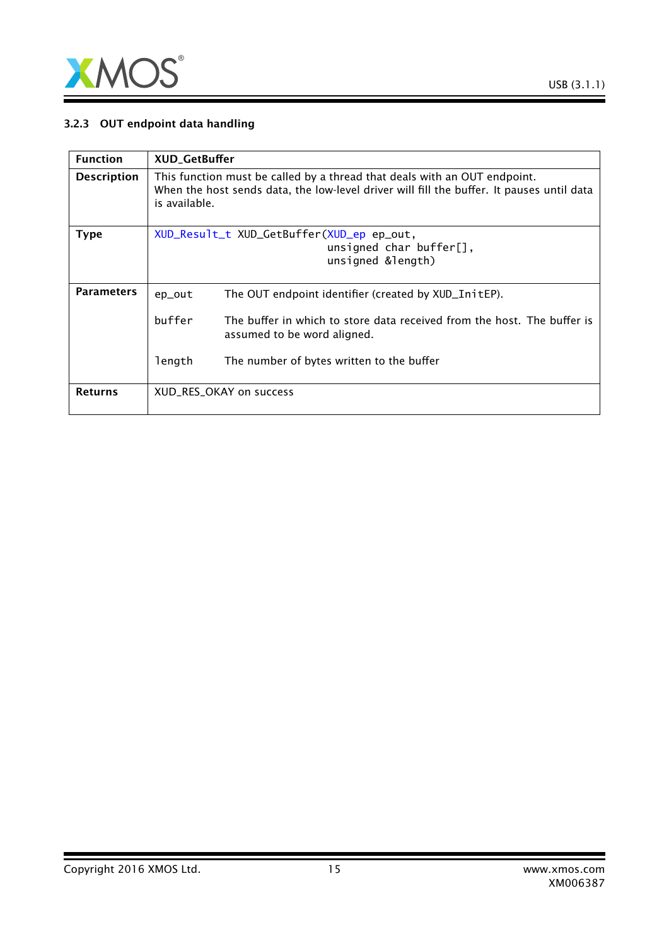

## 3.2.3 OUT endpoint data handling

| <b>Function</b>    | <b>XUD_GetBuffer</b>                                                                                                                                                                    |                                                                                                        |  |
|--------------------|-----------------------------------------------------------------------------------------------------------------------------------------------------------------------------------------|--------------------------------------------------------------------------------------------------------|--|
| <b>Description</b> | This function must be called by a thread that deals with an OUT endpoint.<br>When the host sends data, the low-level driver will fill the buffer. It pauses until data<br>is available. |                                                                                                        |  |
| <b>Type</b>        |                                                                                                                                                                                         | XUD_Result_t XUD_GetBuffer(XUD_ep ep_out,<br>unsigned char buffer $[]$ ,<br>unsigned &length)          |  |
| <b>Parameters</b>  | ep_out                                                                                                                                                                                  | The OUT endpoint identifier (created by XUD_InitEP).                                                   |  |
|                    | buffer                                                                                                                                                                                  | The buffer in which to store data received from the host. The buffer is<br>assumed to be word aligned. |  |
|                    | length                                                                                                                                                                                  | The number of bytes written to the buffer                                                              |  |
| <b>Returns</b>     |                                                                                                                                                                                         | XUD_RES_OKAY on success                                                                                |  |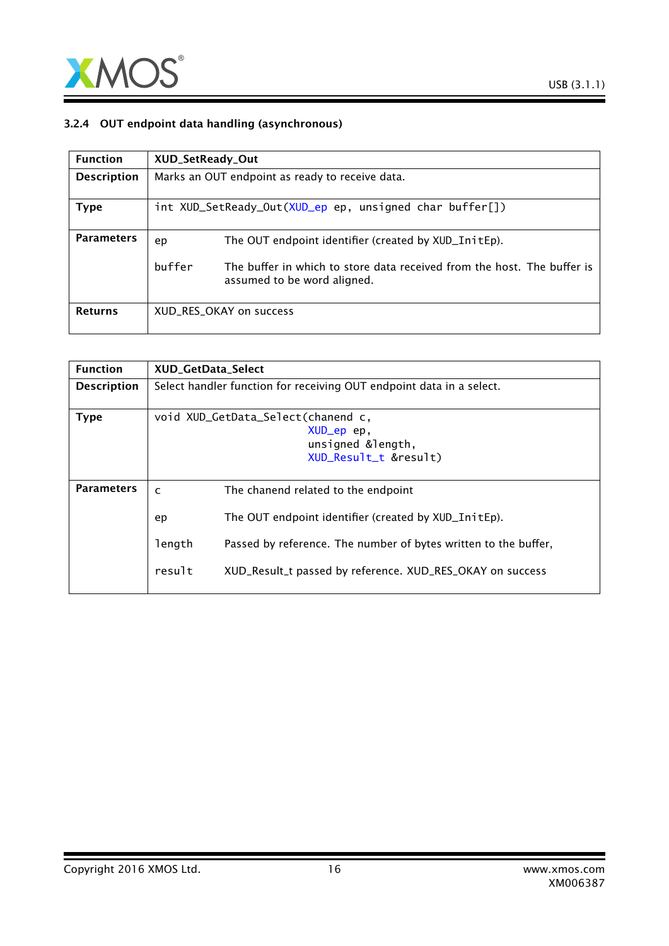

## 3.2.4 OUT endpoint data handling (asynchronous)

| <b>Function</b>    | XUD_SetReady_Out                                |                                                                                                        |
|--------------------|-------------------------------------------------|--------------------------------------------------------------------------------------------------------|
| <b>Description</b> | Marks an OUT endpoint as ready to receive data. |                                                                                                        |
| Type               |                                                 | int XUD_SetReady_Out(XUD_ep ep, unsigned char buffer[])                                                |
| <b>Parameters</b>  | ep                                              | The OUT endpoint identifier (created by XUD_InitEp).                                                   |
|                    | buffer                                          | The buffer in which to store data received from the host. The buffer is<br>assumed to be word aligned. |
| <b>Returns</b>     |                                                 | XUD RES OKAY on success                                                                                |

| <b>Function</b>    | <b>XUD GetData Select</b>                                                                      |                                                                                                                                                                                                                             |
|--------------------|------------------------------------------------------------------------------------------------|-----------------------------------------------------------------------------------------------------------------------------------------------------------------------------------------------------------------------------|
| <b>Description</b> | Select handler function for receiving OUT endpoint data in a select.                           |                                                                                                                                                                                                                             |
| <b>Type</b>        | void XUD_GetData_Select(chanend c,<br>XUD_ep ep,<br>unsigned &length,<br>XUD_Result_t &result) |                                                                                                                                                                                                                             |
| <b>Parameters</b>  | $\mathsf{C}$<br>ep<br>length<br>result                                                         | The chanend related to the endpoint<br>The OUT endpoint identifier (created by XUD_InitEp).<br>Passed by reference. The number of bytes written to the buffer,<br>XUD_Result_t passed by reference. XUD_RES_OKAY on success |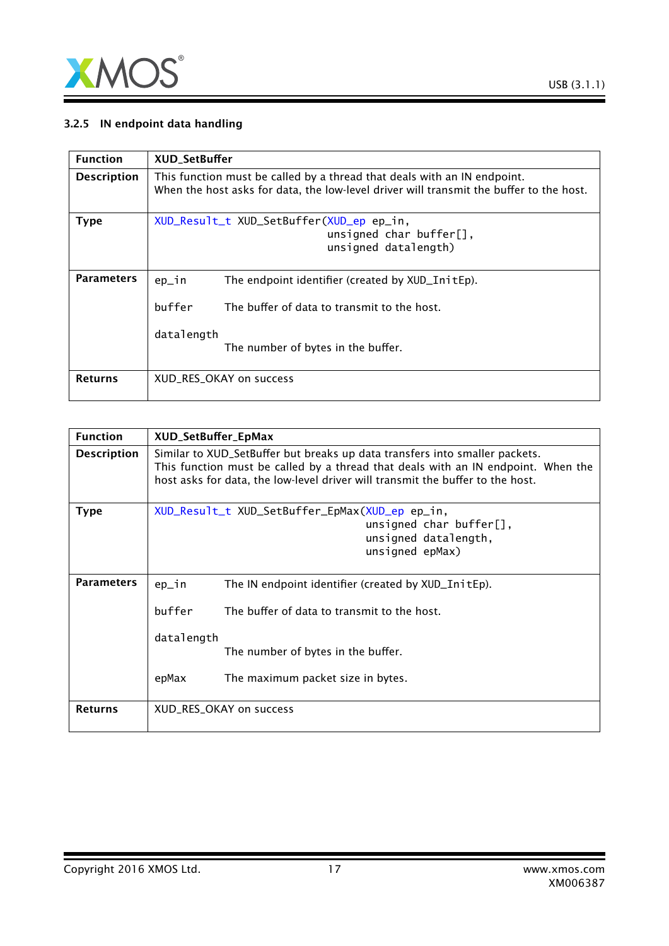

## 3.2.5 IN endpoint data handling

| <b>Function</b>    | <b>XUD SetBuffer</b>                                                                                                                                                |
|--------------------|---------------------------------------------------------------------------------------------------------------------------------------------------------------------|
| <b>Description</b> | This function must be called by a thread that deals with an IN endpoint.<br>When the host asks for data, the low-level driver will transmit the buffer to the host. |
| <b>Type</b>        | XUD_Result_t XUD_SetBuffer(XUD_ep ep_in,<br>unsigned char buffer[],<br>unsigned datalength)                                                                         |
| <b>Parameters</b>  | The endpoint identifier (created by XUD_InitEp).<br>$ep_1n$<br>buffer<br>The buffer of data to transmit to the host.<br>datalength                                  |
| <b>Returns</b>     | The number of bytes in the buffer.<br>XUD RES OKAY on success                                                                                                       |

| <b>Function</b>    | XUD_SetBuffer_EpMax                                                                                                                                                                                                                                |                                                                                                                          |
|--------------------|----------------------------------------------------------------------------------------------------------------------------------------------------------------------------------------------------------------------------------------------------|--------------------------------------------------------------------------------------------------------------------------|
| <b>Description</b> | Similar to XUD_SetBuffer but breaks up data transfers into smaller packets.<br>This function must be called by a thread that deals with an IN endpoint. When the<br>host asks for data, the low-level driver will transmit the buffer to the host. |                                                                                                                          |
| <b>Type</b>        |                                                                                                                                                                                                                                                    | XUD_Result_t XUD_SetBuffer_EpMax(XUD_ep ep_in,<br>unsigned char buffer $[]$ ,<br>unsigned datalength,<br>unsigned epMax) |
| <b>Parameters</b>  | ep_in                                                                                                                                                                                                                                              | The IN endpoint identifier (created by XUD_InitEp).                                                                      |
|                    | buffer                                                                                                                                                                                                                                             | The buffer of data to transmit to the host.                                                                              |
|                    | datalength                                                                                                                                                                                                                                         | The number of bytes in the buffer.                                                                                       |
|                    | epMax                                                                                                                                                                                                                                              | The maximum packet size in bytes.                                                                                        |
| <b>Returns</b>     | XUD_RES_OKAY on success                                                                                                                                                                                                                            |                                                                                                                          |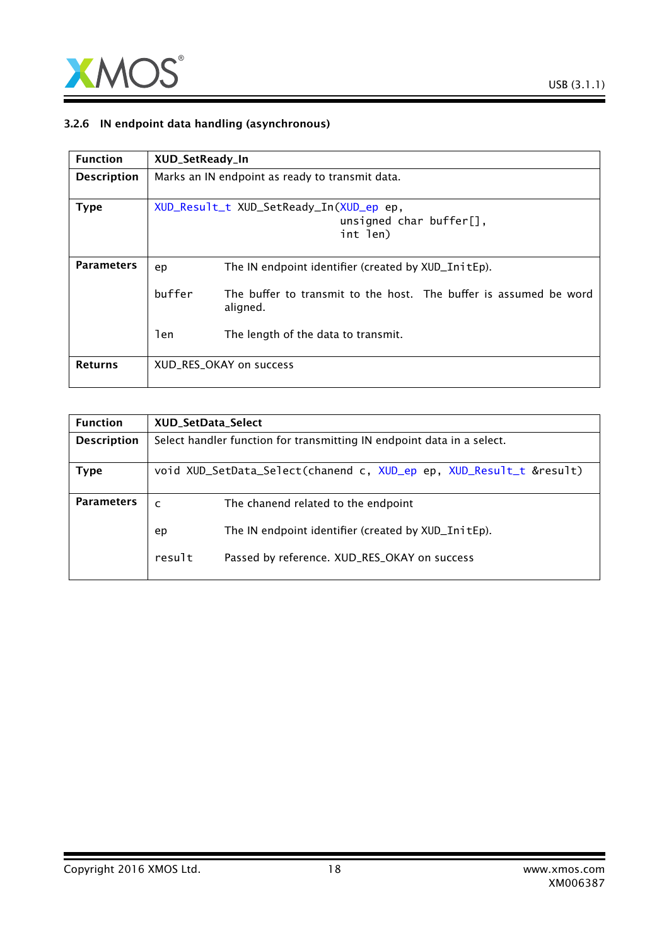

## 3.2.6 IN endpoint data handling (asynchronous)

| <b>Function</b>    | XUD_SetReady_In                                 |                                                                                    |
|--------------------|-------------------------------------------------|------------------------------------------------------------------------------------|
| <b>Description</b> | Marks an IN endpoint as ready to transmit data. |                                                                                    |
| <b>Type</b>        |                                                 | XUD_Result_t XUD_SetReady_In(XUD_ep ep,<br>unsigned char buffer $[]$ ,<br>int len) |
| <b>Parameters</b>  | ep                                              | The IN endpoint identifier (created by XUD_InitEp).                                |
|                    | buffer                                          | The buffer to transmit to the host. The buffer is assumed be word<br>aligned.      |
|                    | len                                             | The length of the data to transmit.                                                |
| <b>Returns</b>     |                                                 | XUD RES OKAY on success                                                            |

| <b>XUD SetData Select</b>                                              |  |
|------------------------------------------------------------------------|--|
| Select handler function for transmitting IN endpoint data in a select. |  |
|                                                                        |  |
| void XUD_SetData_Select(chanend c, XUD_ep ep, XUD_Result_t &result)    |  |
|                                                                        |  |
| The chanend related to the endpoint<br>$\mathsf{C}$                    |  |
| The IN endpoint identifier (created by XUD_InitEp).<br>ep              |  |
| result<br>Passed by reference. XUD_RES_OKAY on success                 |  |
|                                                                        |  |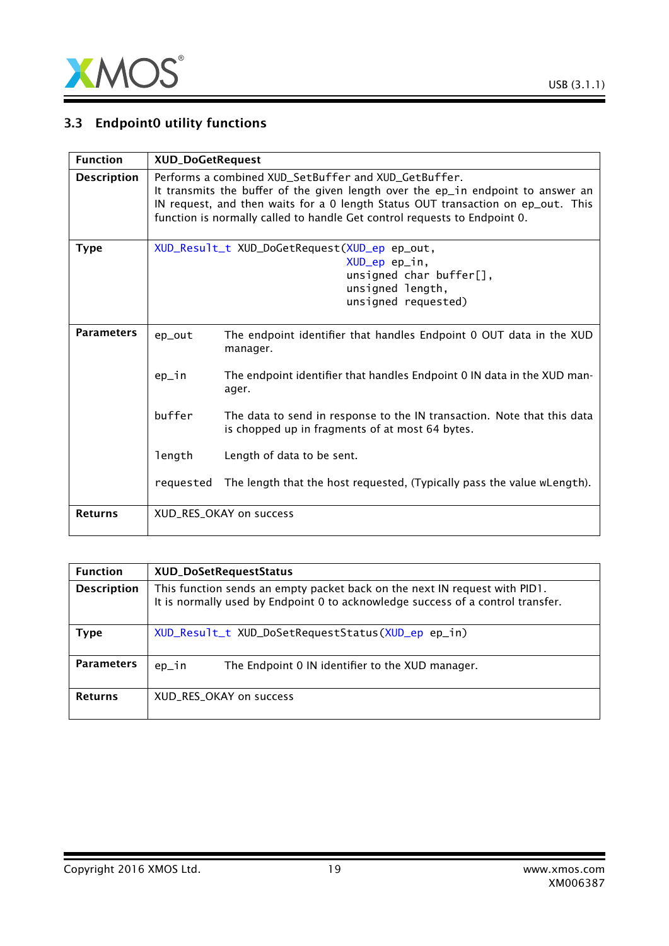

# 3.3 Endpoint0 utility functions

| <b>Function</b>    | <b>XUD_DoGetRequest</b>                                                                                                                                                                                                                                                                                   |                                                                                                                            |
|--------------------|-----------------------------------------------------------------------------------------------------------------------------------------------------------------------------------------------------------------------------------------------------------------------------------------------------------|----------------------------------------------------------------------------------------------------------------------------|
| <b>Description</b> | Performs a combined XUD_SetBuffer and XUD_GetBuffer.<br>It transmits the buffer of the given length over the ep_in endpoint to answer an<br>IN request, and then waits for a 0 length Status OUT transaction on ep_out. This<br>function is normally called to handle Get control requests to Endpoint 0. |                                                                                                                            |
| <b>Type</b>        | XUD_Result_t XUD_DoGetRequest(XUD_ep ep_out,<br>XUD_ep ep_in,<br>unsigned char buffer[],<br>unsigned length,<br>unsigned requested)                                                                                                                                                                       |                                                                                                                            |
| <b>Parameters</b>  | ep_out                                                                                                                                                                                                                                                                                                    | The endpoint identifier that handles Endpoint 0 OUT data in the XUD<br>manager.                                            |
|                    | ep_in                                                                                                                                                                                                                                                                                                     | The endpoint identifier that handles Endpoint 0 IN data in the XUD man-<br>ager.                                           |
|                    | buffer                                                                                                                                                                                                                                                                                                    | The data to send in response to the IN transaction. Note that this data<br>is chopped up in fragments of at most 64 bytes. |
|                    | length                                                                                                                                                                                                                                                                                                    | Length of data to be sent.                                                                                                 |
|                    | requested                                                                                                                                                                                                                                                                                                 | The length that the host requested, (Typically pass the value wLength).                                                    |
| <b>Returns</b>     |                                                                                                                                                                                                                                                                                                           | XUD_RES_OKAY on success                                                                                                    |

| <b>Function</b>    | XUD_DoSetRequestStatus                                                                                                                                        |
|--------------------|---------------------------------------------------------------------------------------------------------------------------------------------------------------|
| <b>Description</b> | This function sends an empty packet back on the next IN request with PID1.<br>It is normally used by Endpoint 0 to acknowledge success of a control transfer. |
| Type               | XUD_Result_t XUD_DoSetRequestStatus(XUD_ep ep_in)                                                                                                             |
| <b>Parameters</b>  | ep_in<br>The Endpoint 0 IN identifier to the XUD manager.                                                                                                     |
| <b>Returns</b>     | XUD_RES_OKAY on success                                                                                                                                       |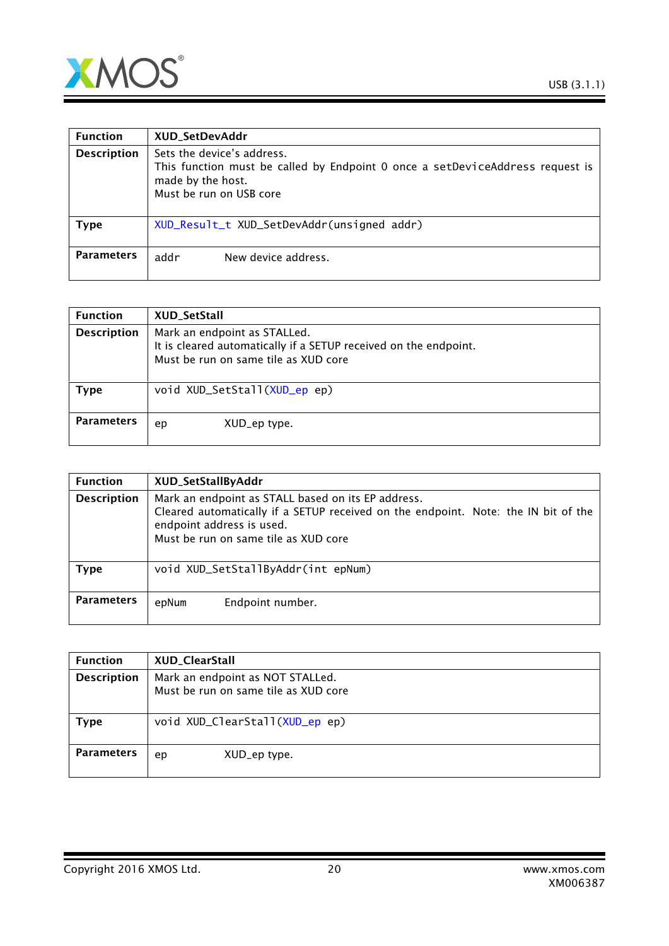



| <b>Function</b>    | XUD_SetDevAddr                                                                                                                                              |
|--------------------|-------------------------------------------------------------------------------------------------------------------------------------------------------------|
| <b>Description</b> | Sets the device's address.<br>This function must be called by Endpoint 0 once a setDeviceAddress request is<br>made by the host.<br>Must be run on USB core |
| <b>Type</b>        | XUD_Result_t XUD_SetDevAddr(unsigned addr)                                                                                                                  |
| <b>Parameters</b>  | addr<br>New device address.                                                                                                                                 |

| <b>Function</b>    | XUD_SetStall                                                                                                                             |
|--------------------|------------------------------------------------------------------------------------------------------------------------------------------|
| <b>Description</b> | Mark an endpoint as STALLed.<br>It is cleared automatically if a SETUP received on the endpoint.<br>Must be run on same tile as XUD core |
| Type               | void XUD_SetStall(XUD_ep ep)                                                                                                             |
| <b>Parameters</b>  | XUD_ep type.<br>ep                                                                                                                       |

| <b>Function</b>    | XUD_SetStallByAddr                                                                                                                                                                                            |
|--------------------|---------------------------------------------------------------------------------------------------------------------------------------------------------------------------------------------------------------|
| <b>Description</b> | Mark an endpoint as STALL based on its EP address.<br>Cleared automatically if a SETUP received on the endpoint. Note: the IN bit of the<br>endpoint address is used.<br>Must be run on same tile as XUD core |
| <b>Type</b>        | void XUD_SetStallByAddr(int epNum)                                                                                                                                                                            |
| <b>Parameters</b>  | Endpoint number.<br>epNum                                                                                                                                                                                     |

| <b>Function</b>    | XUD_ClearStall                                                           |
|--------------------|--------------------------------------------------------------------------|
| <b>Description</b> | Mark an endpoint as NOT STALLed.<br>Must be run on same tile as XUD core |
| <b>Type</b>        | void XUD_ClearStall(XUD_ep ep)                                           |
| <b>Parameters</b>  | XUD_ep type.<br>ep                                                       |

Copyright 2016 XMOS Ltd. 20 www.xmos.com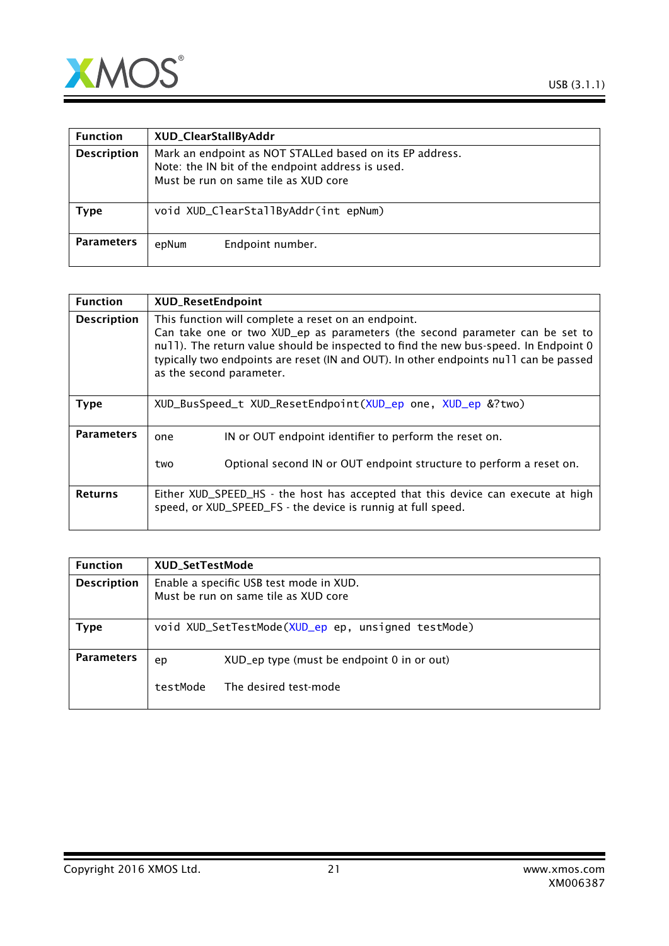

| <b>Function</b>    | XUD_ClearStallByAddr                                                                                                                                  |
|--------------------|-------------------------------------------------------------------------------------------------------------------------------------------------------|
| <b>Description</b> | Mark an endpoint as NOT STALLed based on its EP address.<br>Note: the IN bit of the endpoint address is used.<br>Must be run on same tile as XUD core |
| Type               | void XUD_ClearStallByAddr(int epNum)                                                                                                                  |
| <b>Parameters</b>  | Endpoint number.<br>epNum                                                                                                                             |

| <b>Function</b>    | <b>XUD_ResetEndpoint</b>                                                                                                                                                                                                                                                                                                                         |
|--------------------|--------------------------------------------------------------------------------------------------------------------------------------------------------------------------------------------------------------------------------------------------------------------------------------------------------------------------------------------------|
| <b>Description</b> | This function will complete a reset on an endpoint.<br>Can take one or two XUD_ep as parameters (the second parameter can be set to<br>null). The return value should be inspected to find the new bus-speed. In Endpoint 0<br>typically two endpoints are reset (IN and OUT). In other endpoints null can be passed<br>as the second parameter. |
| <b>Type</b>        | XUD_BusSpeed_t XUD_ResetEndpoint(XUD_ep one, XUD_ep &?two)                                                                                                                                                                                                                                                                                       |
| <b>Parameters</b>  | IN or OUT endpoint identifier to perform the reset on.<br>one<br>Optional second IN or OUT endpoint structure to perform a reset on.<br>two                                                                                                                                                                                                      |
| <b>Returns</b>     | Either XUD_SPEED_HS - the host has accepted that this device can execute at high<br>speed, or XUD_SPEED_FS - the device is runnig at full speed.                                                                                                                                                                                                 |

| <b>Function</b>    | <b>XUD SetTestMode</b>                                                          |                                                    |
|--------------------|---------------------------------------------------------------------------------|----------------------------------------------------|
| <b>Description</b> | Enable a specific USB test mode in XUD.<br>Must be run on same tile as XUD core |                                                    |
| Type               |                                                                                 | void XUD_SetTestMode(XUD_ep ep, unsigned testMode) |
| <b>Parameters</b>  | ep                                                                              | XUD_ep type (must be endpoint 0 in or out)         |
|                    | testMode                                                                        | The desired test-mode                              |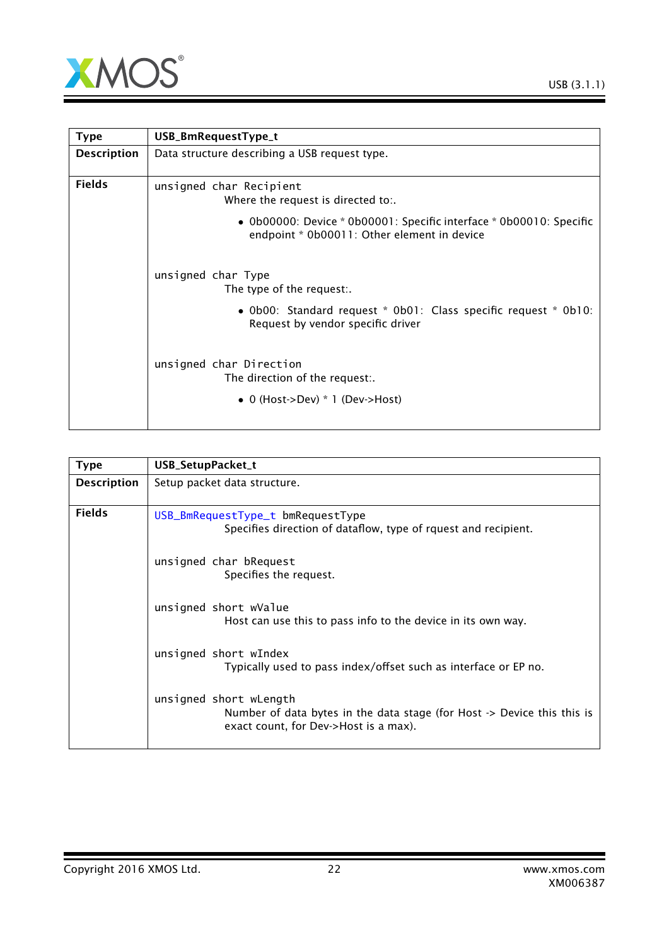

<span id="page-21-0"></span>

| <b>Type</b>        | USB_BmRequestType_t                                                                                                         |  |
|--------------------|-----------------------------------------------------------------------------------------------------------------------------|--|
| <b>Description</b> | Data structure describing a USB request type.                                                                               |  |
| <b>Fields</b>      | unsigned char Recipient<br>Where the request is directed to:.                                                               |  |
|                    | • $0b00000$ : Device * $0b00001$ : Specific interface * $0b00010$ : Specific<br>endpoint * 0b00011: Other element in device |  |
|                    | unsigned char Type<br>The type of the request:.                                                                             |  |
|                    | • Ob00: Standard request * Ob01: Class specific request * Ob10:<br>Request by vendor specific driver                        |  |
|                    | unsigned char Direction<br>The direction of the request:.                                                                   |  |
|                    | • 0 (Host->Dev) $*$ 1 (Dev->Host)                                                                                           |  |

<span id="page-21-1"></span>

| <b>Type</b>        | USB_SetupPacket_t                                                                                                                                     |  |
|--------------------|-------------------------------------------------------------------------------------------------------------------------------------------------------|--|
| <b>Description</b> | Setup packet data structure.                                                                                                                          |  |
| <b>Fields</b>      | USB_BmRequestType_t bmRequestType<br>Specifies direction of dataflow, type of rquest and recipient.                                                   |  |
|                    | unsigned char bRequest<br>Specifies the request.                                                                                                      |  |
|                    | unsigned short wValue<br>Host can use this to pass info to the device in its own way.                                                                 |  |
|                    | unsigned short wIndex<br>Typically used to pass index/offset such as interface or EP no.                                                              |  |
|                    | unsigned short wLength<br>Number of data bytes in the data stage (for Host $\rightarrow$ Device this this is<br>exact count, for Dev->Host is a max). |  |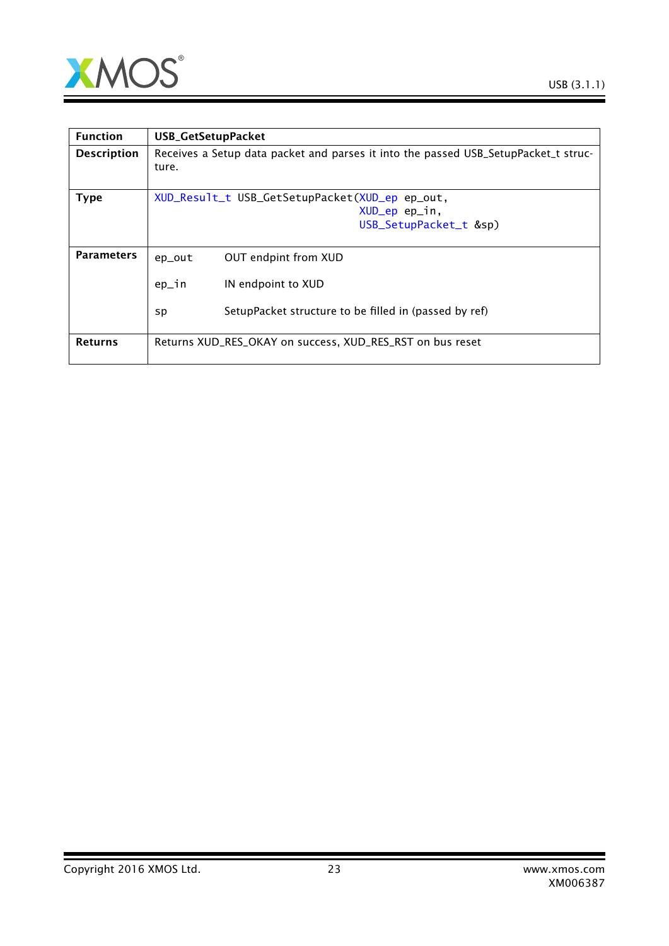

| <b>Function</b>    | <b>USB_GetSetupPacket</b>                                                                    |  |  |
|--------------------|----------------------------------------------------------------------------------------------|--|--|
| <b>Description</b> | Receives a Setup data packet and parses it into the passed USB_SetupPacket_t struc-<br>ture. |  |  |
| <b>Type</b>        | XUD_Result_t USB_GetSetupPacket(XUD_ep ep_out,                                               |  |  |
|                    | XUD_ep ep_in,                                                                                |  |  |
|                    | USB_SetupPacket_t &sp)                                                                       |  |  |
|                    |                                                                                              |  |  |
| <b>Parameters</b>  | OUT endpint from XUD<br>ep_out                                                               |  |  |
|                    | ep_in<br>IN endpoint to XUD                                                                  |  |  |
|                    | SetupPacket structure to be filled in (passed by ref)<br>sp                                  |  |  |
| <b>Returns</b>     | Returns XUD_RES_OKAY on success, XUD_RES_RST on bus reset                                    |  |  |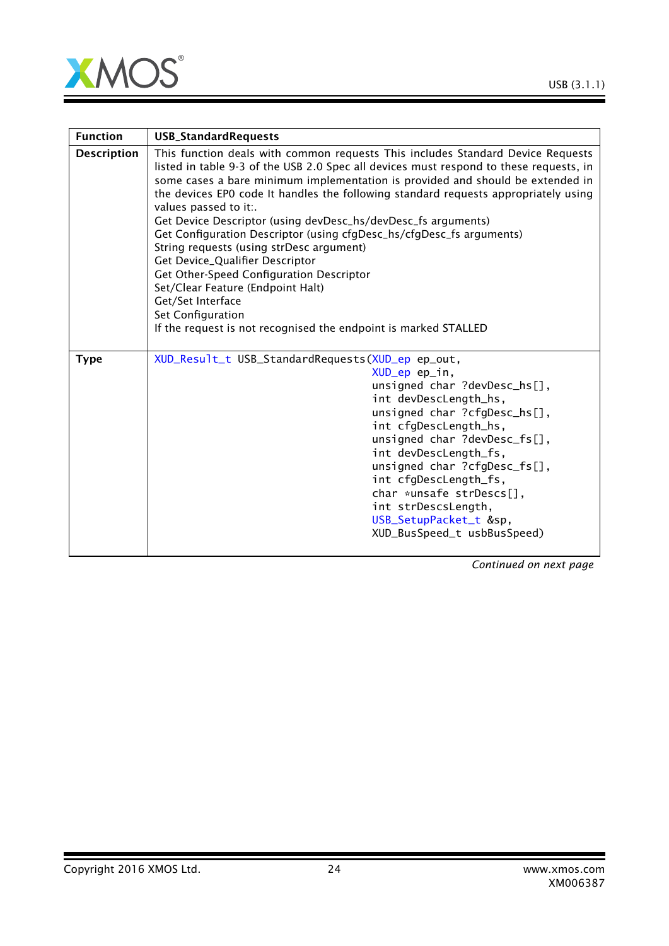

| <b>Function</b>    | <b>USB_StandardRequests</b>                                                                                                                                                                                                                                                                                                                                                                                                                                                                                                                                                                                                                                                                                                                                                                       |  |
|--------------------|---------------------------------------------------------------------------------------------------------------------------------------------------------------------------------------------------------------------------------------------------------------------------------------------------------------------------------------------------------------------------------------------------------------------------------------------------------------------------------------------------------------------------------------------------------------------------------------------------------------------------------------------------------------------------------------------------------------------------------------------------------------------------------------------------|--|
| <b>Description</b> | This function deals with common requests This includes Standard Device Requests<br>listed in table 9-3 of the USB 2.0 Spec all devices must respond to these requests, in<br>some cases a bare minimum implementation is provided and should be extended in<br>the devices EPO code It handles the following standard requests appropriately using<br>values passed to it:.<br>Get Device Descriptor (using devDesc_hs/devDesc_fs arguments)<br>Get Configuration Descriptor (using cfgDesc_hs/cfgDesc_fs arguments)<br>String requests (using strDesc argument)<br>Get Device_Qualifier Descriptor<br>Get Other-Speed Configuration Descriptor<br>Set/Clear Feature (Endpoint Halt)<br>Get/Set Interface<br>Set Configuration<br>If the request is not recognised the endpoint is marked STALLED |  |
| <b>Type</b>        | XUD_Result_t USB_StandardRequests(XUD_ep ep_out,<br>XUD_ep ep_in,<br>unsigned char ?devDesc_hs[],<br>int devDescLength_hs,<br>unsigned char ?cfgDesc_hs[],<br>int cfgDescLength_hs,<br>unsigned char ?devDesc_fs[],<br>int devDescLength_fs,<br>unsigned char ?cfgDesc_fs[],<br>int cfgDescLength_fs,<br>char *unsafe strDescs[],<br>int strDescsLength,<br>USB_SetupPacket_t &sp,<br>XUD_BusSpeed_t usbBusSpeed)                                                                                                                                                                                                                                                                                                                                                                                 |  |

*Continued on next page*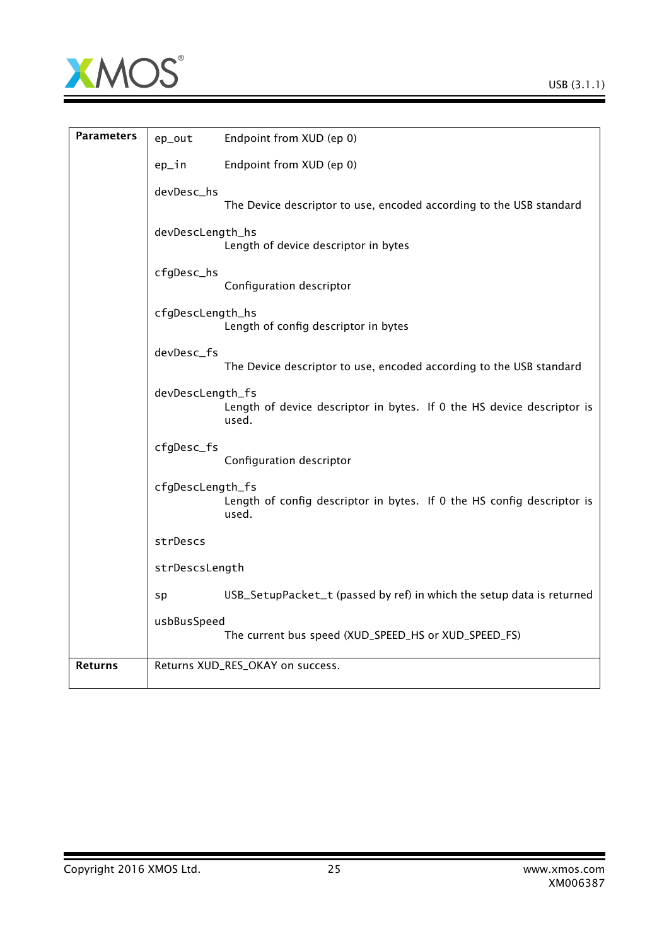

| <b>Parameters</b> | ep_out           | Endpoint from XUD (ep 0)                                                        |
|-------------------|------------------|---------------------------------------------------------------------------------|
|                   | ep_in            | Endpoint from XUD (ep 0)                                                        |
|                   | devDesc_hs       | The Device descriptor to use, encoded according to the USB standard             |
|                   | devDescLength_hs | Length of device descriptor in bytes                                            |
|                   | cfgDesc_hs       | Configuration descriptor                                                        |
|                   | cfgDescLength_hs | Length of config descriptor in bytes                                            |
|                   | devDesc_fs       | The Device descriptor to use, encoded according to the USB standard             |
|                   | devDescLength_fs | Length of device descriptor in bytes. If 0 the HS device descriptor is<br>used. |
|                   | cfgDesc_fs       | Configuration descriptor                                                        |
|                   | cfgDescLength_fs | Length of config descriptor in bytes. If 0 the HS config descriptor is<br>used. |
|                   | strDescs         |                                                                                 |
|                   | strDescsLength   |                                                                                 |
|                   | sp               | USB_SetupPacket_t (passed by ref) in which the setup data is returned           |
|                   | usbBusSpeed      | The current bus speed (XUD_SPEED_HS or XUD_SPEED_FS)                            |
| <b>Returns</b>    |                  | Returns XUD_RES_OKAY on success.                                                |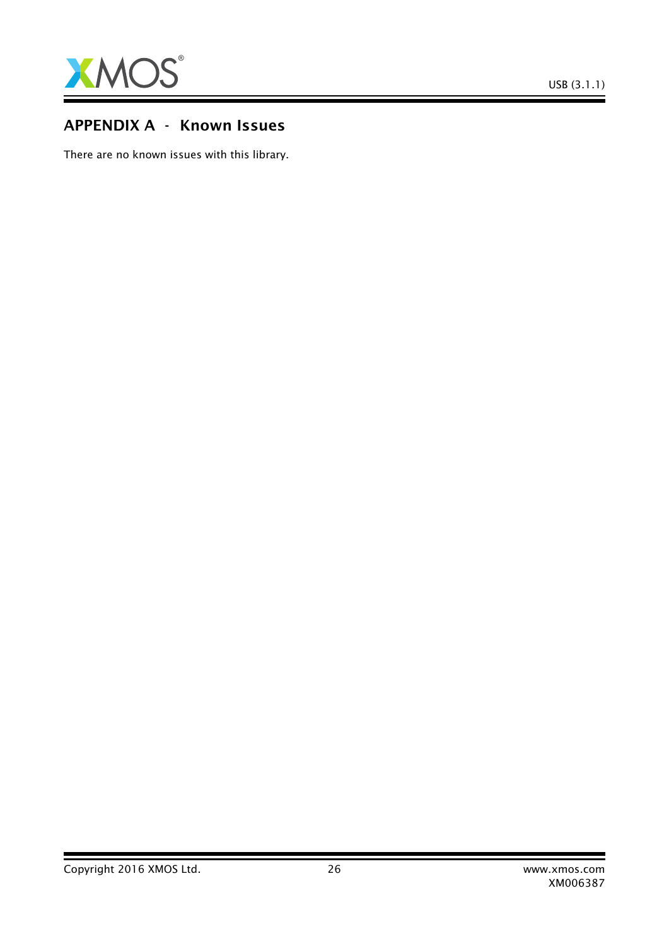

# APPENDIX A - Known Issues

There are no known issues with this library.